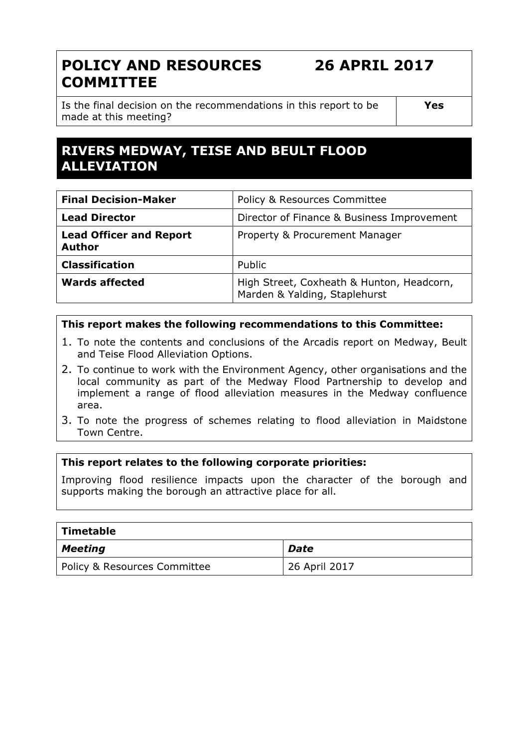# POLICY AND RESOURCES **COMMITTEE**

26 APRIL 2017

Is the final decision on the recommendations in this report to be made at this meeting?

Yes

# RIVERS MEDWAY, TEISE AND BEULT FLOOD ALLEVIATION

| <b>Final Decision-Maker</b>                     | Policy & Resources Committee                                               |
|-------------------------------------------------|----------------------------------------------------------------------------|
| <b>Lead Director</b>                            | Director of Finance & Business Improvement                                 |
| <b>Lead Officer and Report</b><br><b>Author</b> | Property & Procurement Manager                                             |
| <b>Classification</b>                           | Public                                                                     |
| <b>Wards affected</b>                           | High Street, Coxheath & Hunton, Headcorn,<br>Marden & Yalding, Staplehurst |

#### This report makes the following recommendations to this Committee:

- 1. To note the contents and conclusions of the Arcadis report on Medway, Beult and Teise Flood Alleviation Options.
- 2. To continue to work with the Environment Agency, other organisations and the local community as part of the Medway Flood Partnership to develop and implement a range of flood alleviation measures in the Medway confluence area.
- 3. To note the progress of schemes relating to flood alleviation in Maidstone Town Centre.

#### This report relates to the following corporate priorities:

Improving flood resilience impacts upon the character of the borough and supports making the borough an attractive place for all.

| Timetable                               |               |
|-----------------------------------------|---------------|
| Meeting                                 | <b>Date</b>   |
| <b>Policy &amp; Resources Committee</b> | 26 April 2017 |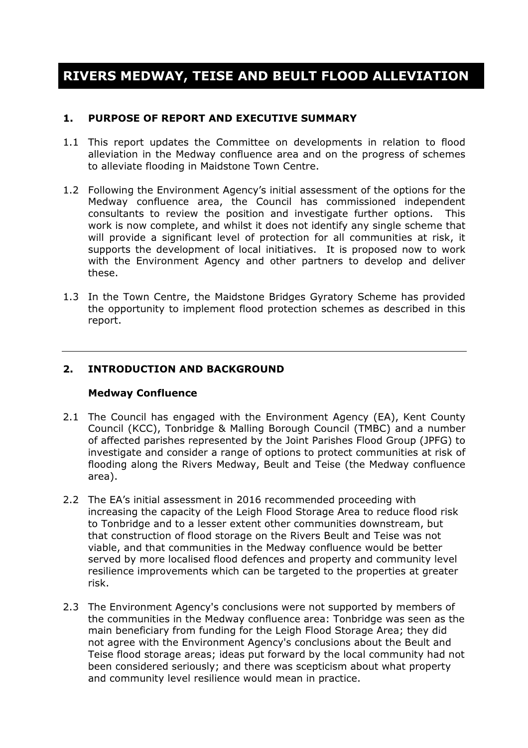# RIVERS MEDWAY, TEISE AND BEULT FLOOD ALLEVIATION

#### 1. PURPOSE OF REPORT AND EXECUTIVE SUMMARY

- 1.1 This report updates the Committee on developments in relation to flood alleviation in the Medway confluence area and on the progress of schemes to alleviate flooding in Maidstone Town Centre.
- 1.2 Following the Environment Agency's initial assessment of the options for the Medway confluence area, the Council has commissioned independent consultants to review the position and investigate further options. This work is now complete, and whilst it does not identify any single scheme that will provide a significant level of protection for all communities at risk, it supports the development of local initiatives. It is proposed now to work with the Environment Agency and other partners to develop and deliver these.
- 1.3 In the Town Centre, the Maidstone Bridges Gyratory Scheme has provided the opportunity to implement flood protection schemes as described in this report.

#### 2. INTRODUCTION AND BACKGROUND

#### Medway Confluence

- 2.1 The Council has engaged with the Environment Agency (EA), Kent County Council (KCC), Tonbridge & Malling Borough Council (TMBC) and a number of affected parishes represented by the Joint Parishes Flood Group (JPFG) to investigate and consider a range of options to protect communities at risk of flooding along the Rivers Medway, Beult and Teise (the Medway confluence area).
- 2.2 The EA's initial assessment in 2016 recommended proceeding with increasing the capacity of the Leigh Flood Storage Area to reduce flood risk to Tonbridge and to a lesser extent other communities downstream, but that construction of flood storage on the Rivers Beult and Teise was not viable, and that communities in the Medway confluence would be better served by more localised flood defences and property and community level resilience improvements which can be targeted to the properties at greater risk.
- 2.3 The Environment Agency's conclusions were not supported by members of the communities in the Medway confluence area: Tonbridge was seen as the main beneficiary from funding for the Leigh Flood Storage Area; they did not agree with the Environment Agency's conclusions about the Beult and Teise flood storage areas; ideas put forward by the local community had not been considered seriously; and there was scepticism about what property and community level resilience would mean in practice.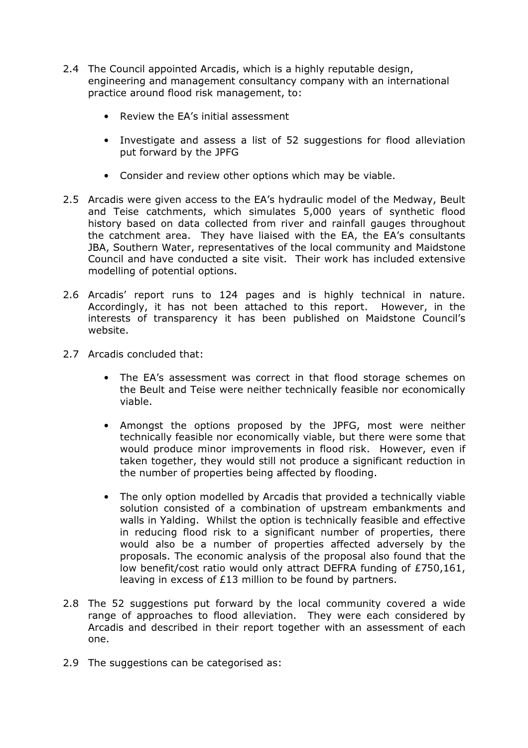- 2.4 The Council appointed Arcadis, which is a highly reputable design, engineering and management consultancy company with an international practice around flood risk management, to:
	- Review the EA's initial assessment
	- Investigate and assess a list of 52 suggestions for flood alleviation put forward by the JPFG
	- Consider and review other options which may be viable.
- 2.5 Arcadis were given access to the EA's hydraulic model of the Medway, Beult and Teise catchments, which simulates 5,000 years of synthetic flood history based on data collected from river and rainfall gauges throughout the catchment area. They have liaised with the EA, the EA's consultants JBA, Southern Water, representatives of the local community and Maidstone Council and have conducted a site visit. Their work has included extensive modelling of potential options.
- 2.6 Arcadis' report runs to 124 pages and is highly technical in nature. Accordingly, it has not been attached to this report. However, in the interests of transparency it has been published on Maidstone Council's website.
- 2.7 Arcadis concluded that:
	- The EA's assessment was correct in that flood storage schemes on the Beult and Teise were neither technically feasible nor economically viable.
	- Amongst the options proposed by the JPFG, most were neither technically feasible nor economically viable, but there were some that would produce minor improvements in flood risk. However, even if taken together, they would still not produce a significant reduction in the number of properties being affected by flooding.
	- The only option modelled by Arcadis that provided a technically viable solution consisted of a combination of upstream embankments and walls in Yalding. Whilst the option is technically feasible and effective in reducing flood risk to a significant number of properties, there would also be a number of properties affected adversely by the proposals. The economic analysis of the proposal also found that the low benefit/cost ratio would only attract DEFRA funding of £750,161, leaving in excess of £13 million to be found by partners.
- 2.8 The 52 suggestions put forward by the local community covered a wide range of approaches to flood alleviation. They were each considered by Arcadis and described in their report together with an assessment of each one.
- 2.9 The suggestions can be categorised as: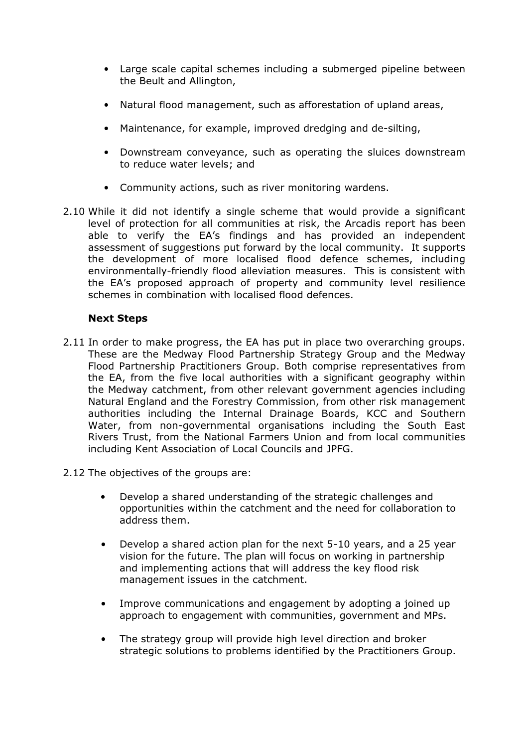- Large scale capital schemes including a submerged pipeline between the Beult and Allington,
- Natural flood management, such as afforestation of upland areas,
- Maintenance, for example, improved dredging and de-silting,
- Downstream conveyance, such as operating the sluices downstream to reduce water levels; and
- Community actions, such as river monitoring wardens.
- 2.10 While it did not identify a single scheme that would provide a significant level of protection for all communities at risk, the Arcadis report has been able to verify the EA's findings and has provided an independent assessment of suggestions put forward by the local community. It supports the development of more localised flood defence schemes, including environmentally-friendly flood alleviation measures. This is consistent with the EA's proposed approach of property and community level resilience schemes in combination with localised flood defences.

## Next Steps

- 2.11 In order to make progress, the EA has put in place two overarching groups. These are the Medway Flood Partnership Strategy Group and the Medway Flood Partnership Practitioners Group. Both comprise representatives from the EA, from the five local authorities with a significant geography within the Medway catchment, from other relevant government agencies including Natural England and the Forestry Commission, from other risk management authorities including the Internal Drainage Boards, KCC and Southern Water, from non-governmental organisations including the South East Rivers Trust, from the National Farmers Union and from local communities including Kent Association of Local Councils and JPFG.
- 2.12 The objectives of the groups are:
	- Develop a shared understanding of the strategic challenges and opportunities within the catchment and the need for collaboration to address them.
	- Develop a shared action plan for the next 5-10 years, and a 25 year vision for the future. The plan will focus on working in partnership and implementing actions that will address the key flood risk management issues in the catchment.
	- Improve communications and engagement by adopting a joined up approach to engagement with communities, government and MPs.
	- The strategy group will provide high level direction and broker strategic solutions to problems identified by the Practitioners Group.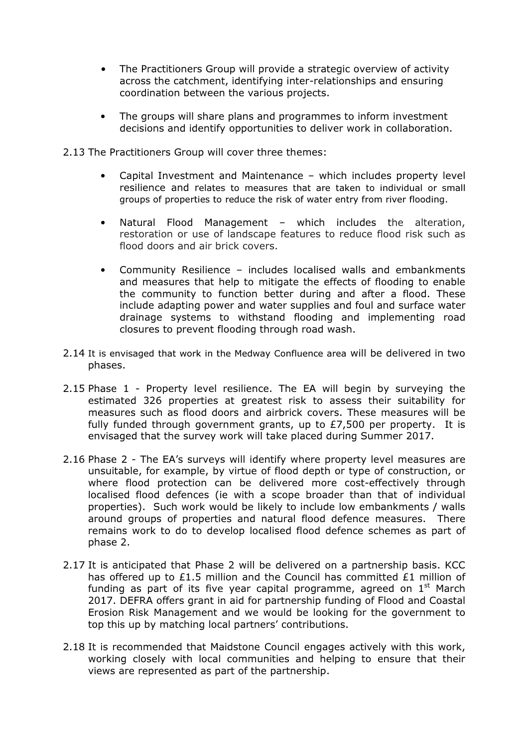- The Practitioners Group will provide a strategic overview of activity across the catchment, identifying inter-relationships and ensuring coordination between the various projects.
- The groups will share plans and programmes to inform investment decisions and identify opportunities to deliver work in collaboration.
- 2.13 The Practitioners Group will cover three themes:
	- Capital Investment and Maintenance which includes property level resilience and relates to measures that are taken to individual or small groups of properties to reduce the risk of water entry from river flooding.
	- Natural Flood Management which includes the alteration, restoration or use of landscape features to reduce flood risk such as flood doors and air brick covers.
	- Community Resilience includes localised walls and embankments and measures that help to mitigate the effects of flooding to enable the community to function better during and after a flood. These include adapting power and water supplies and foul and surface water drainage systems to withstand flooding and implementing road closures to prevent flooding through road wash.
- 2.14 It is envisaged that work in the Medway Confluence area will be delivered in two phases.
- 2.15 Phase 1 Property level resilience. The EA will begin by surveying the estimated 326 properties at greatest risk to assess their suitability for measures such as flood doors and airbrick covers. These measures will be fully funded through government grants, up to £7,500 per property. It is envisaged that the survey work will take placed during Summer 2017.
- 2.16 Phase 2 The EA's surveys will identify where property level measures are unsuitable, for example, by virtue of flood depth or type of construction, or where flood protection can be delivered more cost-effectively through localised flood defences (ie with a scope broader than that of individual properties). Such work would be likely to include low embankments / walls around groups of properties and natural flood defence measures. There remains work to do to develop localised flood defence schemes as part of phase 2.
- 2.17 It is anticipated that Phase 2 will be delivered on a partnership basis. KCC has offered up to £1.5 million and the Council has committed £1 million of funding as part of its five year capital programme, agreed on  $1<sup>st</sup>$  March 2017. DEFRA offers grant in aid for partnership funding of Flood and Coastal Erosion Risk Management and we would be looking for the government to top this up by matching local partners' contributions.
- 2.18 It is recommended that Maidstone Council engages actively with this work, working closely with local communities and helping to ensure that their views are represented as part of the partnership.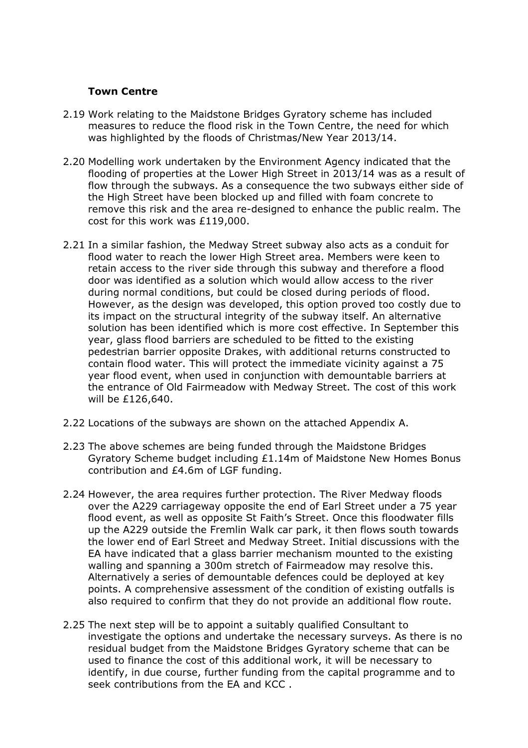## Town Centre

- 2.19 Work relating to the Maidstone Bridges Gyratory scheme has included measures to reduce the flood risk in the Town Centre, the need for which was highlighted by the floods of Christmas/New Year 2013/14.
- 2.20 Modelling work undertaken by the Environment Agency indicated that the flooding of properties at the Lower High Street in 2013/14 was as a result of flow through the subways. As a consequence the two subways either side of the High Street have been blocked up and filled with foam concrete to remove this risk and the area re-designed to enhance the public realm. The cost for this work was £119,000.
- 2.21 In a similar fashion, the Medway Street subway also acts as a conduit for flood water to reach the lower High Street area. Members were keen to retain access to the river side through this subway and therefore a flood door was identified as a solution which would allow access to the river during normal conditions, but could be closed during periods of flood. However, as the design was developed, this option proved too costly due to its impact on the structural integrity of the subway itself. An alternative solution has been identified which is more cost effective. In September this year, glass flood barriers are scheduled to be fitted to the existing pedestrian barrier opposite Drakes, with additional returns constructed to contain flood water. This will protect the immediate vicinity against a 75 year flood event, when used in conjunction with demountable barriers at the entrance of Old Fairmeadow with Medway Street. The cost of this work will be £126,640.
- 2.22 Locations of the subways are shown on the attached Appendix A.
- 2.23 The above schemes are being funded through the Maidstone Bridges Gyratory Scheme budget including £1.14m of Maidstone New Homes Bonus contribution and £4.6m of LGF funding.
- 2.24 However, the area requires further protection. The River Medway floods over the A229 carriageway opposite the end of Earl Street under a 75 year flood event, as well as opposite St Faith's Street. Once this floodwater fills up the A229 outside the Fremlin Walk car park, it then flows south towards the lower end of Earl Street and Medway Street. Initial discussions with the EA have indicated that a glass barrier mechanism mounted to the existing walling and spanning a 300m stretch of Fairmeadow may resolve this. Alternatively a series of demountable defences could be deployed at key points. A comprehensive assessment of the condition of existing outfalls is also required to confirm that they do not provide an additional flow route.
- 2.25 The next step will be to appoint a suitably qualified Consultant to investigate the options and undertake the necessary surveys. As there is no residual budget from the Maidstone Bridges Gyratory scheme that can be used to finance the cost of this additional work, it will be necessary to identify, in due course, further funding from the capital programme and to seek contributions from the EA and KCC .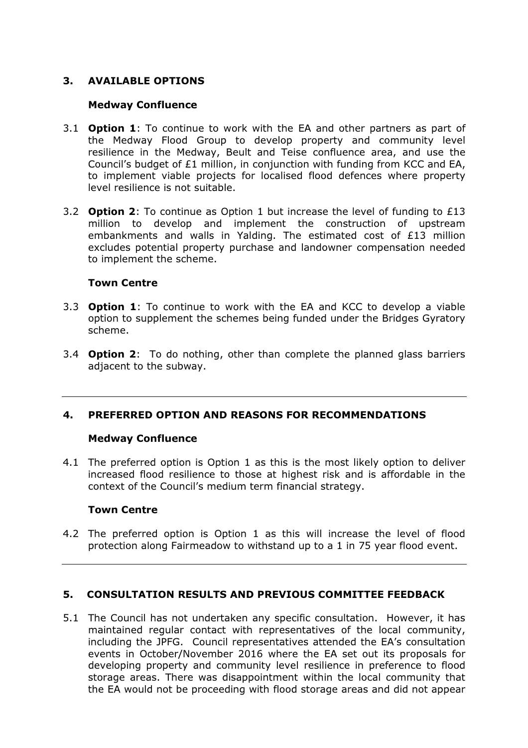# 3. AVAILABLE OPTIONS

#### Medway Confluence

- 3.1 **Option 1:** To continue to work with the EA and other partners as part of the Medway Flood Group to develop property and community level resilience in the Medway, Beult and Teise confluence area, and use the Council's budget of £1 million, in conjunction with funding from KCC and EA, to implement viable projects for localised flood defences where property level resilience is not suitable.
- 3.2 **Option 2:** To continue as Option 1 but increase the level of funding to £13 million to develop and implement the construction of upstream embankments and walls in Yalding. The estimated cost of £13 million excludes potential property purchase and landowner compensation needed to implement the scheme.

#### Town Centre

- 3.3 **Option 1**: To continue to work with the EA and KCC to develop a viable option to supplement the schemes being funded under the Bridges Gyratory scheme.
- 3.4 **Option 2**: To do nothing, other than complete the planned glass barriers adjacent to the subway.

#### 4. PREFERRED OPTION AND REASONS FOR RECOMMENDATIONS

#### Medway Confluence

4.1 The preferred option is Option 1 as this is the most likely option to deliver increased flood resilience to those at highest risk and is affordable in the context of the Council's medium term financial strategy.

#### Town Centre

4.2 The preferred option is Option 1 as this will increase the level of flood protection along Fairmeadow to withstand up to a 1 in 75 year flood event.

## 5. CONSULTATION RESULTS AND PREVIOUS COMMITTEE FEEDBACK

5.1 The Council has not undertaken any specific consultation. However, it has maintained regular contact with representatives of the local community, including the JPFG. Council representatives attended the EA's consultation events in October/November 2016 where the EA set out its proposals for developing property and community level resilience in preference to flood storage areas. There was disappointment within the local community that the EA would not be proceeding with flood storage areas and did not appear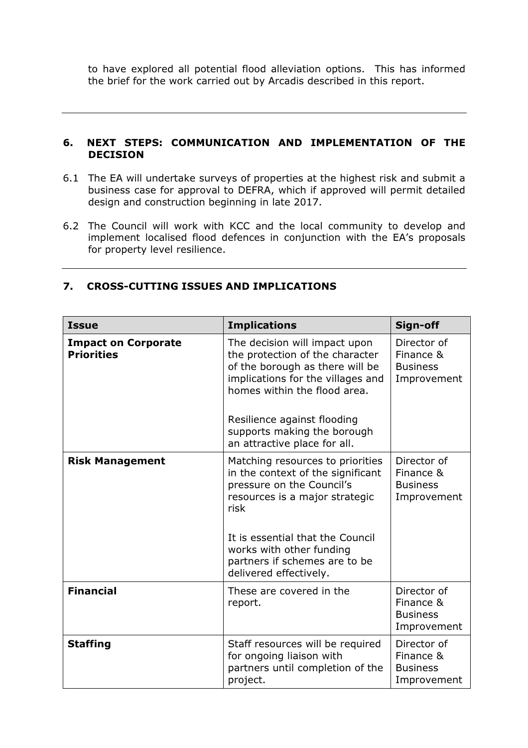to have explored all potential flood alleviation options. This has informed the brief for the work carried out by Arcadis described in this report.

#### 6. NEXT STEPS: COMMUNICATION AND IMPLEMENTATION OF THE DECISION

- 6.1 The EA will undertake surveys of properties at the highest risk and submit a business case for approval to DEFRA, which if approved will permit detailed design and construction beginning in late 2017.
- 6.2 The Council will work with KCC and the local community to develop and implement localised flood defences in conjunction with the EA's proposals for property level resilience.

| <b>Issue</b>                                    | <b>Implications</b>                                                                                                                                                                                                                                                     | Sign-off                                                   |
|-------------------------------------------------|-------------------------------------------------------------------------------------------------------------------------------------------------------------------------------------------------------------------------------------------------------------------------|------------------------------------------------------------|
| <b>Impact on Corporate</b><br><b>Priorities</b> | The decision will impact upon<br>the protection of the character<br>of the borough as there will be<br>implications for the villages and<br>homes within the flood area.<br>Resilience against flooding<br>supports making the borough<br>an attractive place for all.  | Director of<br>Finance &<br><b>Business</b><br>Improvement |
| <b>Risk Management</b>                          | Matching resources to priorities<br>in the context of the significant<br>pressure on the Council's<br>resources is a major strategic<br>risk<br>It is essential that the Council<br>works with other funding<br>partners if schemes are to be<br>delivered effectively. | Director of<br>Finance &<br><b>Business</b><br>Improvement |
| <b>Financial</b>                                | These are covered in the<br>report.                                                                                                                                                                                                                                     | Director of<br>Finance &<br><b>Business</b><br>Improvement |
| <b>Staffing</b>                                 | Staff resources will be required<br>for ongoing liaison with<br>partners until completion of the<br>project.                                                                                                                                                            | Director of<br>Finance &<br><b>Business</b><br>Improvement |

#### 7. CROSS-CUTTING ISSUES AND IMPLICATIONS